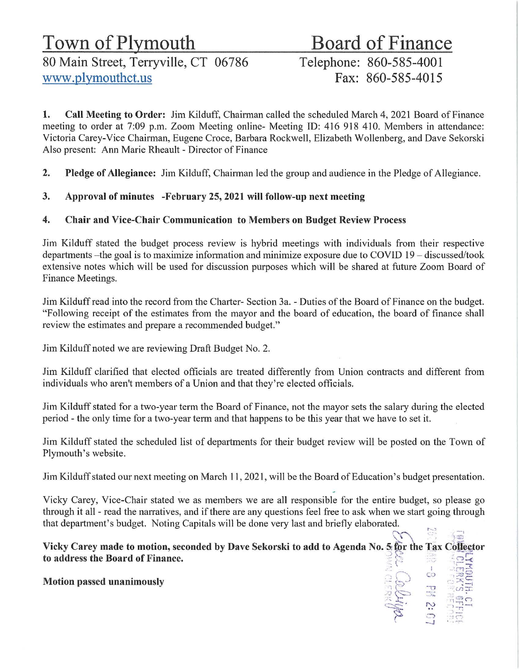80 Main Street, Terryville, CT 06786 Telephone: 860-585-4001<br>Www.plymouthct.us<br>Fax: 860-585-4015 www.plymouthct.us

# Town of Plymouth<br>80 Main Street, Terryville, CT 06786 Telephone: 860-585-4001

 $\overline{5}$   $\overline{5}$   $\overline{2}$   $\overline{2}$   $\overline{3}$   $\overline{4}$   $\overline{5}$  $\mathbb{R}$   $\mathbb{R}$   $\mathbb{R}$   $\mathbb{R}$   $\mathbb{Z}$  $~\star$  :120 c) - N - 1

 $\circ$   $\frac{2}{3}$ --J

1. Call Meeting to Order: Jim Kilduff, Chairman called the scheduled March 4, 2021 Board of Finance meeting to order at 7:09 p.m. Zoom Meeting online- Meeting ID: 416 918 410. Members in attendance: Victoria Carey-Vice Chairman, Eugene Croce, Barbara Rockwell, Elizabeth Wollenberg, and Dave Sekorski Also present: Ann Marie Rheault - Director of Finance

2. Pledge of Allegiance: Jim Kilduff, Chairman led the group and audience in the Pledge of Allegiance.

3. Approval of minutes -February 25, 2021 will follow-up next meeting

# 4. Chair and Vice-Chair Communication to Members on Budget Review Process

Jim Kilduff stated the budget process review is hybrid meetings with individuals from their respective departments - the goal is to maximize information and minimize exposure due to COVID 19 - discussed/took extensive notes which will be used for discussion purposes which will be shared at future Zoom Board of Finance Meetings.

Jim Kilduff read into the record from the Charter- Section 3a. - Duties of the Board of Finance on the budget. "Following receipt of the estimates from the mayor and the board of education, the board of finance shall review the estimates and prepare a recommended budget."

Jim Kilduff noted we are reviewing Draft Budget No. 2.

Jim Kilduff clarified that elected officials are treated differently from Union contracts and different from individuals who aren't members of a Union and that they're elected officials.

Jim Kilduff stated for a two-year term the Board of Finance, not the mayor sets the salary during the elected period - the only time for a two-year term and that happens to be this year that we have to set it.

Jim Kilduff stated the scheduled list of departments for their budget review will be posted on the Town of Plymouth's website.

Jim Kilduff stated our next meeting on March 11, 2021, will be the Board of Education's budget presentation.

Vicky Carey, Vice-Chair stated we as members we are all responsible for the entire budget, so please go through it all - read the narratives, and if there are any questions feel free to ask when we start going through that department's budget. Noting Capitals will be done very last and briefly elaborated.

~ ·"'.'.: ··· ~ ~. S2 !<  $\sum_{i=1}^{N}$   $\sum_{i=1}^{N}$   $\sum_{i=1}^{N}$   $\sum_{i=1}^{N}$   $\sum_{i=1}^{N}$   $\sum_{i=1}^{N}$   $\sum_{i=1}^{N}$   $\sum_{i=1}^{N}$ Vicky Carey made to motion, seconded by Dave Sekorski to add to Agenda No. 5 for the Tax Collector to address the Board of Finance. 

Motion passed unanimously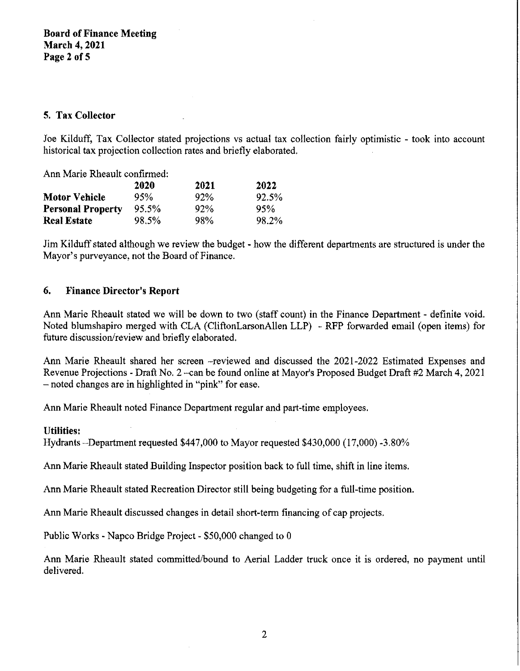# **S. Tax Collector**

Joe Kilduff, Tax Collector stated projections vs actual tax collection fairly optimistic - took into account historical tax projection collection rates and briefly elaborated.

| Ann Marie Rheault confirmed: |       |      |       |
|------------------------------|-------|------|-------|
|                              | 2020  | 2021 | 2022  |
| <b>Motor Vehicle</b>         | 95%   | 92%  | 92.5% |
| <b>Personal Property</b>     | 95.5% | 92%  | 95%   |
| <b>Real Estate</b>           | 98.5% | 98%  | 98.2% |

Jim Kilduff stated although we review the budget - how the different departments are structured is under the Mayor's purveyance, not the Board of Finance.

#### **6. Finance Director's Report**

Ann Marie Rheault stated we will be down to two (staff count) in the Finance Department - definite void. Noted blumshapiro merged with CLA (CliftonLarsonAllen LLP) - RFP forwarded email (open items) for future discussion/review and briefly elaborated.

Ann Marie Rheault shared her screen -reviewed and discussed the 2021-2022 Estimated Expenses and Revenue Projections - Draft No. 2 -can be found online at Mayor's Proposed Budget Draft #2 March 4, 2021 - noted changes are in highlighted in "pink" for ease.

Ann Marie Rheault noted Finance Department regular and part-time employees.

#### **Utilities:**

Hydrants -Department requested \$447,000 to Mayor requested \$430,000 (17,000) -3.80%

Ann Marie Rheault stated Building Inspector position back to full time, shift in line items.

Ann Marie Rheault stated Recreation Director still being budgeting for a full-time position.

Ann Marie Rheault discussed changes in detail short-term financing of cap projects.

Public Works - Napco Bridge Project - \$50,000 changed to 0

Ann Marie Rheault stated committed/bound to Aerial Ladder truck once it is ordered, no payment until delivered.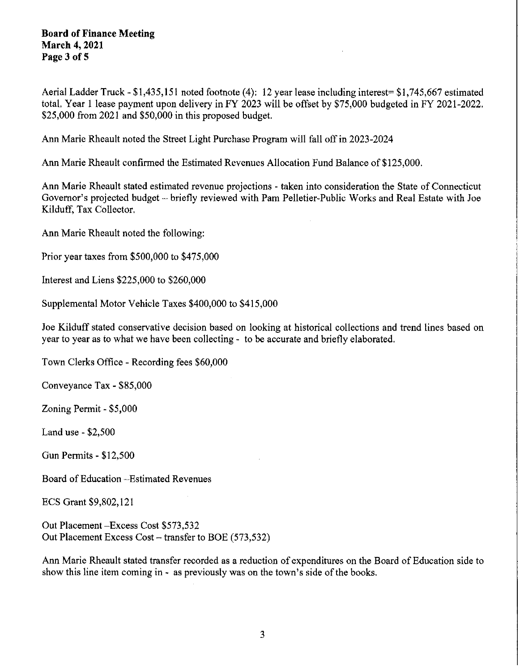#### **Board of Finance Meeting March 4, 2021 Page 3 of 5**

Aerial Ladder Truck- \$1,435,151 noted footnote (4): 12 year lease including interest= \$1,745,667 estimated total. Year l lease payment upon delivery in FY 2023 will be offset by \$75,000 budgeted in FY 2021-2022. \$25,000 from 2021 and \$50,000 in this proposed budget.

Ann Marie Rheault noted the Street Light Purchase Program will fall off in 2023-2024

Ann Marie Rheault confirmed the Estimated Revenues Allocation Fund Balance of \$125,000.

Ann Marie Rheault stated estimated revenue projections - taken into consideration the State of Connecticut Governor's projected budget- briefly reviewed with Pam Pelletier-Public Works and Real Estate with Joe Kilduff, Tax Collector.

Ann Marie Rheault noted the following:

Prior year taxes from \$500,000 to \$475,000

Interest and Liens \$225,000 to \$260,000

Supplemental Motor Vehicle Taxes \$400,000 to \$415,000

Joe Kilduff stated conservative decision based on looking at historical collections and trend lines based on year to year as to what we have been collecting - to be accurate and briefly elaborated.

Town Clerks Office - Recording fees \$60,000

Conveyance Tax - \$85,000

Zoning Permit - \$5,000

Land use - \$2,500

Gun Permits - \$12,500

Board of Education -Estimated Revenues

ECS Grant \$9,802,121

Out Placement-Excess Cost \$573,532 Out Placement Excess Cost - transfer to BOE (573,532)

Ann Marie Rheault stated transfer recorded as a reduction of expenditures on the Board of Education side to show this line item coming in - as previously was on the town's side of the books.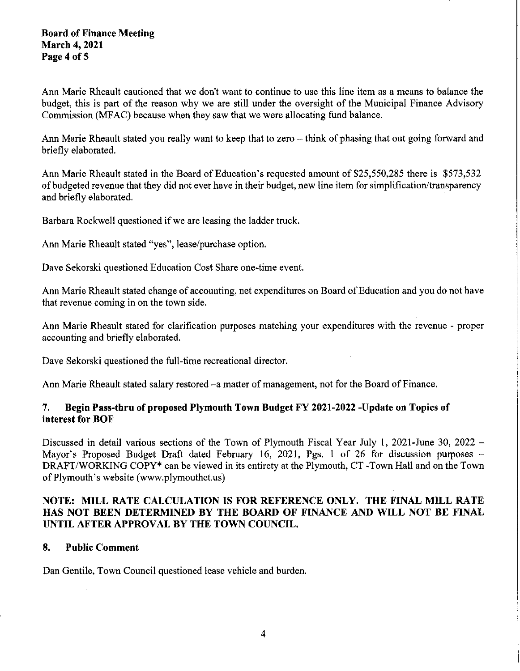#### **Board of Finance Meeting March 4, 2021 Page4 of5**

Ann Marie Rheault cautioned that we don't want to continue to use this line item as a means to balance the budget, this is part of the reason why we are still under the oversight of the Municipal Finance Advisory Commission (MFAC) because when they saw that we were allocating fund balance.

Ann Marie Rheault stated you really want to keep that to zero – think of phasing that out going forward and briefly elaborated.

Ann Marie Rheault stated in the Board of Education's requested amount of \$25,550,285 there is \$573,532 of budgeted revenue that they did not ever have in their budget, new line item for simplification/transparency and briefly elaborated.

Barbara Rockwell questioned if we are leasing the ladder truck.

Ann Marie Rheault stated "yes", lease/purchase option.

Dave Sekorski questioned Education Cost Share one-time event.

Ann Marie Rheault stated change of accounting, net expenditures on Board of Education and you do not have that revenue coming in on the town side.

Ann Marie Rheault stated for clarification purposes matching your expenditures with the revenue - proper accounting and briefly elaborated.

Dave Sekorski questioned the full-time recreational director.

Ann Marie Rheault stated salary restored -a matter of management, not for the Board of Finance.

# **7. Begin Pass-thru of proposed Plymouth Town Budget FY 2021-2022 -Update on Topics of interest for BOF**

Discussed in detail various sections of the Town of Plymouth Fiscal Year July 1, 2021-June 30, 2022 -Mayor's Proposed Budget Draft dated February 16, 2021, Pgs. 1 of 26 for discussion purposes -DRAFT/WORKING COPY\* can be viewed in its entirety at the Plymouth, CT -Town Hall and on the Town of Plymouth's website (www.plymouthct.us)

# **NOTE: MILL RATE CALCULATION IS FOR REFERENCE ONLY. THE FINAL MILL RATE HAS NOT BEEN DETERMINED BY THE BOARD OF FINANCE AND WILL NOT BE FINAL UNTIL AFTER APPROVAL BY THE TOWN COUNCIL.**

# **8. Public Comment**

Dan Gentile, Town Council questioned lease vehicle and burden.